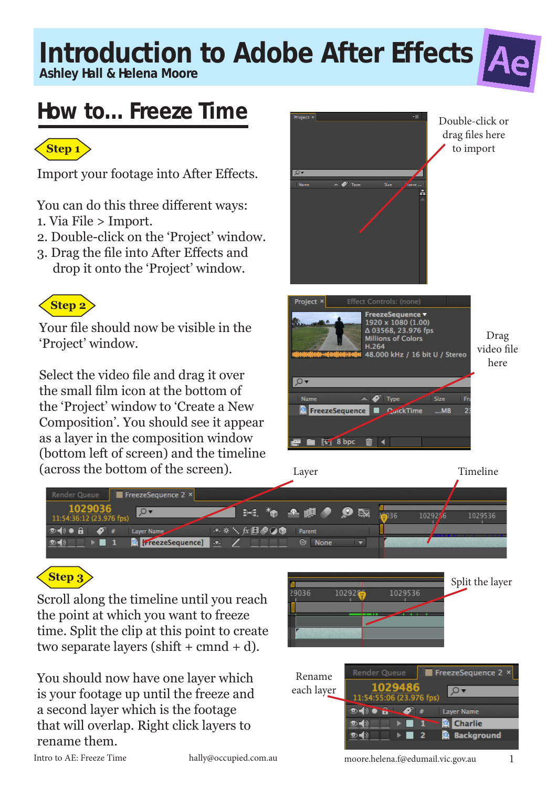**Ashley Hall & Helena Moore**

### **How to... Freeze Time**



Import your footage into After Effects.

You can do this three different ways:

- 1. Via File > Import.
- 2. Double-click on the 'Project' window.
- 3. Drag the file into After Effects and drop it onto the 'Project' window.



Your file should now be visible in the 'Project' window.

Select the video file and drag it over the small film icon at the bottom of the 'Project' window to 'Create a New Composition'. You should see it appear as a layer in the composition window (bottom left of screen) and the timeline (across the bottom of the screen).





### **Step 3**

Scroll along the timeline until you reach the point at which you want to freeze time. Split the clip at this point to create two separate layers (shift  $+$  cmnd  $+$  d).

You should now have one layer which is your footage up until the freeze and a second layer which is the footage that will overlap. Right click layers to rename them.



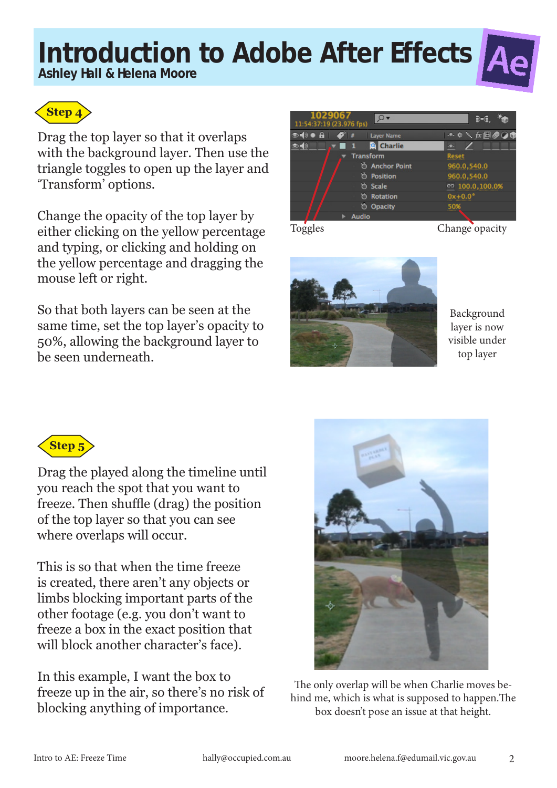**Ashley Hall & Helena Moore**



Drag the top layer so that it overlaps with the background layer. Then use the triangle toggles to open up the layer and 'Transform' options.

Change the opacity of the top layer by either clicking on the yellow percentage and typing, or clicking and holding on the yellow percentage and dragging the mouse left or right.

So that both layers can be seen at the same time, set the top layer's opacity to 50%, allowing the background layer to be seen underneath.



Toggles Change opacity



Background layer is now visible under top layer



Drag the played along the timeline until you reach the spot that you want to freeze. Then shuffle (drag) the position of the top layer so that you can see where overlaps will occur.

This is so that when the time freeze is created, there aren't any objects or limbs blocking important parts of the other footage (e.g. you don't want to freeze a box in the exact position that will block another character's face).

In this example, I want the box to freeze up in the air, so there's no risk of blocking anything of importance.



The only overlap will be when Charlie moves behind me, which is what is supposed to happen.The box doesn't pose an issue at that height.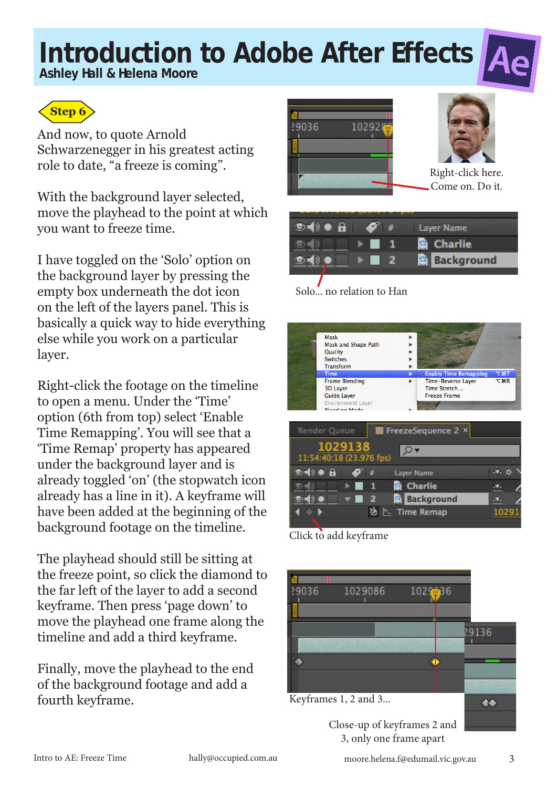**Ashley Hall & Helena Moore**



And now, to quote Arnold Schwarzenegger in his greatest acting role to date, "a freeze is coming".

With the background layer selected, move the playhead to the point at which you want to freeze time.

I have toggled on the 'Solo' option on the background layer by pressing the empty box underneath the dot icon on the left of the layers panel. This is basically a quick way to hide everything else while you work on a particular layer.

Right-click the footage on the timeline to open a menu. Under the 'Time' option (6th from top) select 'Enable Time Remapping'. You will see that a 'Time Remap' property has appeared under the background layer and is already toggled 'on' (the stopwatch icon already has a line in it). A keyframe will have been added at the beginning of the background footage on the timeline.

The playhead should still be sitting at the freeze point, so click the diamond to the far left of the layer to add a second keyframe. Then press 'page down' to move the playhead one frame along the timeline and add a third keyframe.

Finally, move the playhead to the end of the background footage and add a fourth keyframe.





Right-click here. Come on. Do it.

| $0 \bullet B$ | $\bullet$ $\bullet$ | Layer Name        |
|---------------|---------------------|-------------------|
|               |                     | <b>B</b> Charlie  |
|               |                     | <b>Background</b> |
|               |                     |                   |

Solo... no relation to Han



Click to add keyframe



Close-up of keyframes 2 and 3, only one frame apart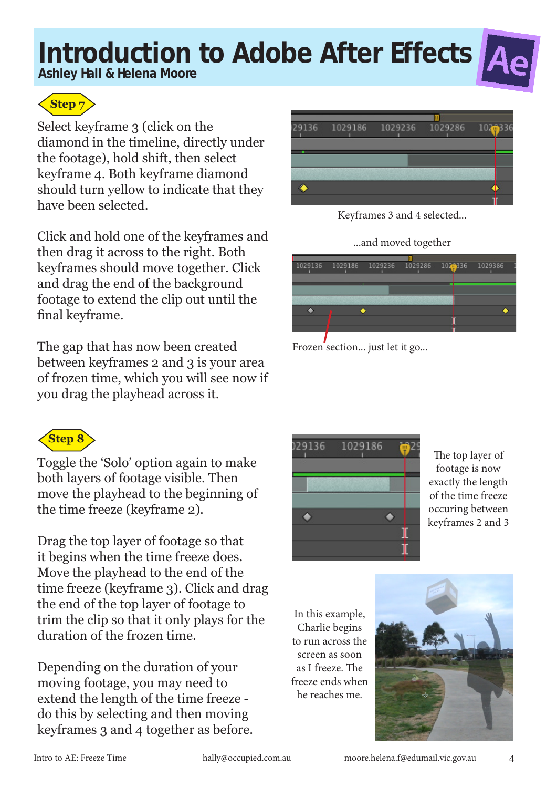**Ashley Hall & Helena Moore**





Select keyframe 3 (click on the diamond in the timeline, directly under the footage), hold shift, then select keyframe 4. Both keyframe diamond should turn yellow to indicate that they have been selected.

Click and hold one of the keyframes and then drag it across to the right. Both keyframes should move together. Click and drag the end of the background footage to extend the clip out until the final keyframe.

The gap that has now been created between keyframes 2 and 3 is your area of frozen time, which you will see now if you drag the playhead across it.



Toggle the 'Solo' option again to make both layers of footage visible. Then move the playhead to the beginning of the time freeze (keyframe 2).

Drag the top layer of footage so that it begins when the time freeze does. Move the playhead to the end of the time freeze (keyframe 3). Click and drag the end of the top layer of footage to trim the clip so that it only plays for the duration of the frozen time.

Depending on the duration of your moving footage, you may need to extend the length of the time freeze do this by selecting and then moving keyframes 3 and 4 together as before.



Keyframes 3 and 4 selected...

#### ...and moved together







The top layer of footage is now exactly the length of the time freeze occuring between keyframes 2 and 3

In this example, Charlie begins to run across the screen as soon as I freeze. The freeze ends when he reaches me.

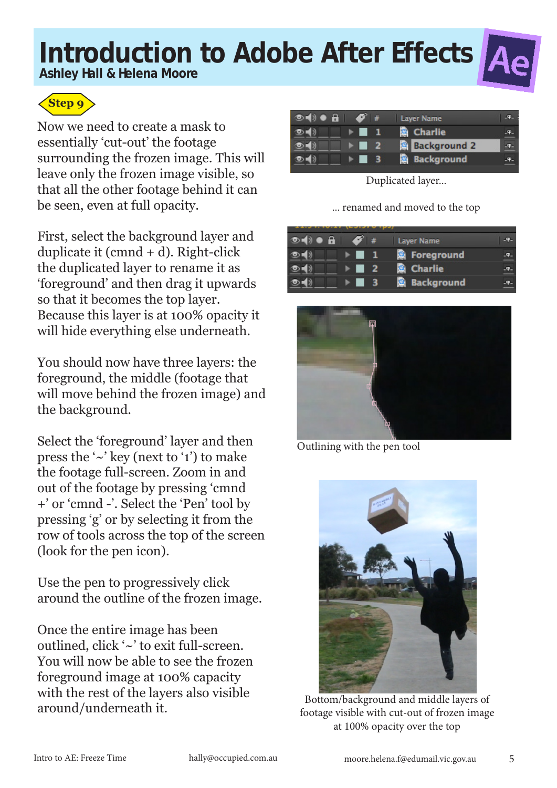**Ashley Hall & Helena Moore**





Now we need to create a mask to essentially 'cut-out' the footage surrounding the frozen image. This will leave only the frozen image visible, so that all the other footage behind it can be seen, even at full opacity.

First, select the background layer and duplicate it (cmnd + d). Right-click the duplicated layer to rename it as 'foreground' and then drag it upwards so that it becomes the top layer. Because this layer is at 100% opacity it will hide everything else underneath.

You should now have three layers: the foreground, the middle (footage that will move behind the frozen image) and the background.

Select the 'foreground' layer and then press the  $\sim$ ' key (next to '1') to make the footage full-screen. Zoom in and out of the footage by pressing 'cmnd +' or 'cmnd -'. Select the 'Pen' tool by pressing 'g' or by selecting it from the row of tools across the top of the screen (look for the pen icon).

Use the pen to progressively click around the outline of the frozen image.

Once the entire image has been outlined, click '~' to exit full-screen. You will now be able to see the frozen foreground image at 100% capacity with the rest of the layers also visible around/underneath it.

| $\circ \bullet \bullet$<br>$\mathscr{S}$ # |     | Layer Name          |     |
|--------------------------------------------|-----|---------------------|-----|
|                                            |     | Charlie             | 32  |
|                                            | 427 | <b>Background 2</b> |     |
|                                            |     | <b>Background</b>   | ч2. |

Duplicated layer...

... renamed and moved to the top

| and it is the contract of the state of the second state of the second state of the second state of the second state of the second state of the second state of the second state of the second state of the second state of the |           |      |                     |           |
|--------------------------------------------------------------------------------------------------------------------------------------------------------------------------------------------------------------------------------|-----------|------|---------------------|-----------|
| $\circ$ $\bullet$ $\bullet$ $\bullet$                                                                                                                                                                                          | $\bullet$ |      | <b>Layer Name</b>   | <b>TA</b> |
|                                                                                                                                                                                                                                |           | - 1  | <b>B</b> Foreground | $-$ T     |
|                                                                                                                                                                                                                                |           | 42   | <b>R</b> Charlie    | $-P-$     |
|                                                                                                                                                                                                                                |           | - 33 | <b>Background</b>   | .ዋ.       |



Outlining with the pen tool



Bottom/background and middle layers of footage visible with cut-out of frozen image at 100% opacity over the top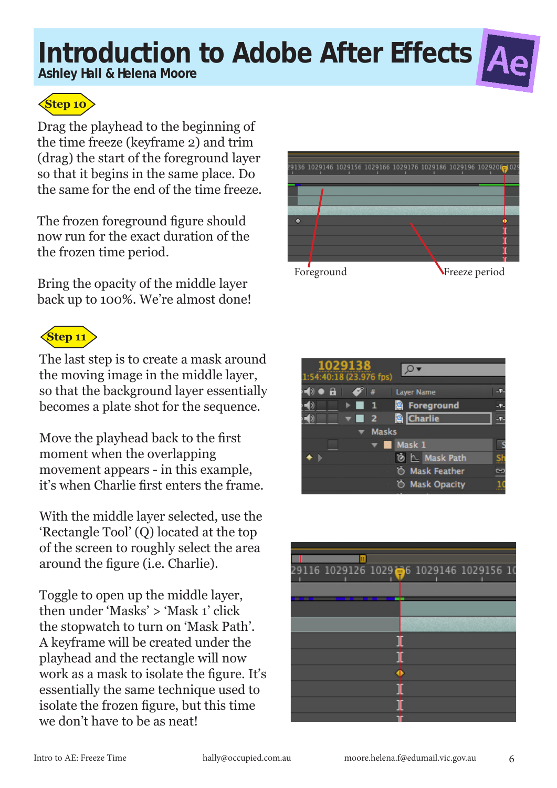**Ashley Hall & Helena Moore**



Drag the playhead to the beginning of the time freeze (keyframe 2) and trim (drag) the start of the foreground layer so that it begins in the same place. Do the same for the end of the time freeze.

The frozen foreground figure should now run for the exact duration of the the frozen time period.

Bring the opacity of the middle layer back up to 100%. We're almost done!

### **Step 11**

The last step is to create a mask around the moving image in the middle layer, so that the background layer essentially becomes a plate shot for the sequence.

Move the playhead back to the first moment when the overlapping movement appears - in this example, it's when Charlie first enters the frame.

With the middle layer selected, use the 'Rectangle Tool' (Q) located at the top of the screen to roughly select the area around the figure (i.e. Charlie).

Toggle to open up the middle layer, then under 'Masks' > 'Mask 1' click the stopwatch to turn on 'Mask Path'. A keyframe will be created under the playhead and the rectangle will now work as a mask to isolate the figure. It's essentially the same technique used to isolate the frozen figure, but this time we don't have to be as neat!